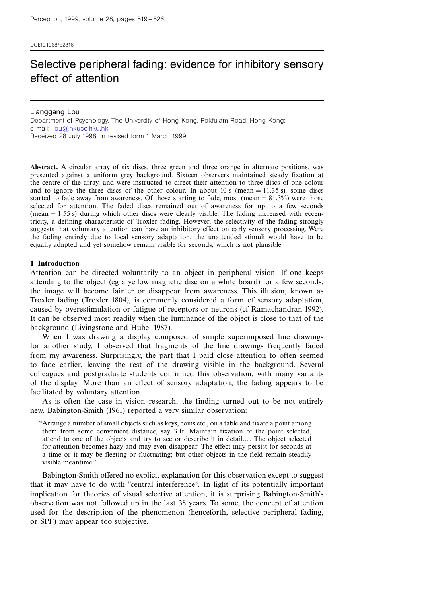# Selective peripheral fading: evidence for inhibitory sensory effect of attention

## Lianggang Lou

Department of Psychology, The University of Hong Kong, Pokfulam Road, Hong Kong; e-mail: [llou@hkucc.hku.hk](mailto:llou@hkucc.hku.hk) Received 28 July 1998, in revised form 1 March 1999

Abstract. A circular array of six discs, three green and three orange in alternate positions, was presented against a uniform grey background. Sixteen observers maintained steady fixation at the centre of the array, and were instructed to direct their attention to three discs of one colour and to ignore the three discs of the other colour. In about 10 s (mean  $= 11.35$  s), some discs started to fade away from awareness. Of those starting to fade, most (mean  $= 81.3\%$ ) were those selected for attention. The faded discs remained out of awareness for up to a few seconds  $(mean = 1.55 s)$  during which other discs were clearly visible. The fading increased with eccentricity, a defining characteristic of Troxler fading. However, the selectivity of the fading strongly suggests that voluntary attention can have an inhibitory effect on early sensory processing. Were the fading entirely due to local sensory adaptation, the unattended stimuli would have to be equally adapted and yet somehow remain visible for seconds, which is not plausible.

# 1 Introduction

Attention can be directed voluntarily to an object in peripheral vision. If one keeps attending to the object (eg a yellow magnetic disc on a white board) for a few seconds, the image will become fainter or disappear from awareness. This illusion, known as Troxler fading (Troxler 1804), is commonly considered a form of sensory adaptation, caused by overestimulation or fatigue of receptors or neurons (cf Ramachandran 1992). It can be observed most readily when the luminance of the object is close to that of the background (Livingstone and Hubel 1987).

When I was drawing a display composed of simple superimposed line drawings for another study, I observed that fragments of the line drawings frequently faded from my awareness. Surprisingly, the part that I paid close attention to often seemed to fade earlier, leaving the rest of the drawing visible in the background. Several colleagues and postgraduate students confirmed this observation, with many variants of the display. More than an effect of sensory adaptation, the fading appears to be facilitated by voluntary attention.

As is often the case in vision research, the finding turned out to be not entirely new. Babington-Smith (1961) reported a very similar observation:

``Arrange a number of small objects such as keys, coins etc., on a table and fixate a point among them from some convenient distance, say 3 ft. Maintain fixation of the point selected, attend to one of the objects and try to see or describe it in detail... . The object selected for attention becomes hazy and may even disappear. The effect may persist for seconds at a time or it may be fleeting or fluctuating; but other objects in the field remain steadily visible meantime.''

Babington-Smith offered no explicit explanation for this observation except to suggest that it may have to do with "central interference". In light of its potentially important implication for theories of visual selective attention, it is surprising Babington-Smith's observation was not followed up in the last 38 years. To some, the concept of attention used for the description of the phenomenon (henceforth, selective peripheral fading, or SPF) may appear too subjective.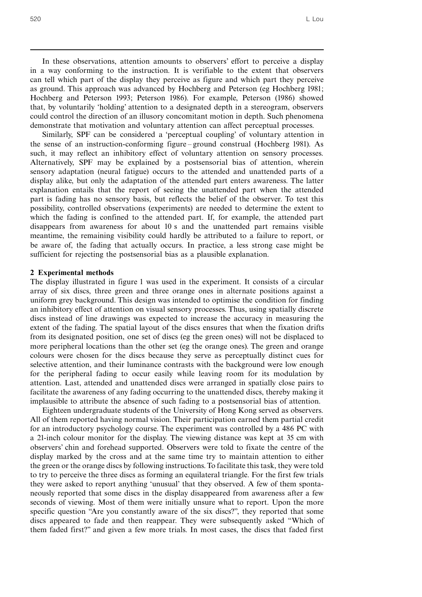In these observations, attention amounts to observers' effort to perceive a display in a way conforming to the instruction. It is verifiable to the extent that observers can tell which part of the display they perceive as figure and which part they perceive as ground. This approach was advanced by Hochberg and Peterson (eg Hochberg 1981; Hochberg and Peterson 1993; Peterson 1986). For example, Peterson (1986) showed that, by voluntarily `holding' attention to a designated depth in a stereogram, observers could control the direction of an illusory concomitant motion in depth. Such phenomena demonstrate that motivation and voluntary attention can affect perceptual processes.

Similarly, SPF can be considered a `perceptual coupling' of voluntary attention in the sense of an instruction-conforming figure ^ ground construal (Hochberg 1981). As such, it may reflect an inhibitory effect of voluntary attention on sensory processes. Alternatively, SPF may be explained by a postsensorial bias of attention, wherein sensory adaptation (neural fatigue) occurs to the attended and unattended parts of a display alike, but only the adaptation of the attended part enters awareness. The latter explanation entails that the report of seeing the unattended part when the attended part is fading has no sensory basis, but reflects the belief of the observer. To test this possibility, controlled observations (experiments) are needed to determine the extent to which the fading is confined to the attended part. If, for example, the attended part disappears from awareness for about 10 s and the unattended part remains visible meantime, the remaining visibility could hardly be attributed to a failure to report, or be aware of, the fading that actually occurs. In practice, a less strong case might be sufficient for rejecting the postsensorial bias as a plausible explanation.

## 2 Experimental methods

The display illustrated in figure 1 was used in the experiment. It consists of a circular array of six discs, three green and three orange ones in alternate positions against a uniform grey background. This design was intended to optimise the condition for finding an inhibitory effect of attention on visual sensory processes. Thus, using spatially discrete discs instead of line drawings was expected to increase the accuracy in measuring the extent of the fading. The spatial layout of the discs ensures that when the fixation drifts from its designated position, one set of discs (eg the green ones) will not be displaced to more peripheral locations than the other set (eg the orange ones). The green and orange colours were chosen for the discs because they serve as perceptually distinct cues for selective attention, and their luminance contrasts with the background were low enough for the peripheral fading to occur easily while leaving room for its modulation by attention. Last, attended and unattended discs were arranged in spatially close pairs to facilitate the awareness of any fading occurring to the unattended discs, thereby making it implausible to attribute the absence of such fading to a postsensorial bias of attention.

Eighteen undergraduate students of the University of Hong Kong served as observers. All of them reported having normal vision. Their participation earned them partial credit for an introductory psychology course. The experiment was controlled by a 486 PC with a 21-inch colour monitor for the display. The viewing distance was kept at 35 cm with observers' chin and forehead supported. Observers were told to fixate the centre of the display marked by the cross and at the same time try to maintain attention to either the green or the orange discs by following instructions. To facilitate this task, they were told to try to perceive the three discs as forming an equilateral triangle. For the first few trials they were asked to report anything 'unusual' that they observed. A few of them spontaneously reported that some discs in the display disappeared from awareness after a few seconds of viewing. Most of them were initially unsure what to report. Upon the more specific question "Are you constantly aware of the six discs?", they reported that some discs appeared to fade and then reappear. They were subsequently asked "Which of them faded first?'' and given a few more trials. In most cases, the discs that faded first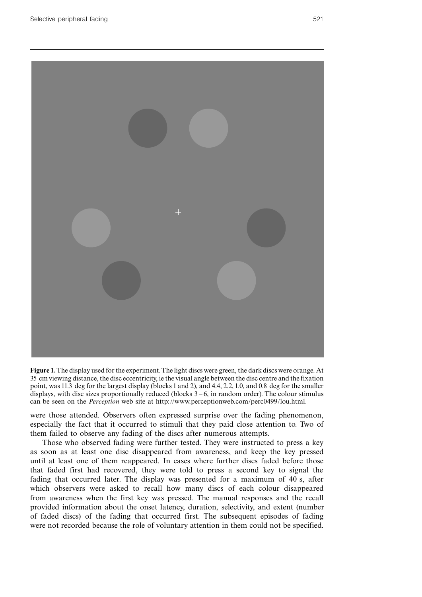

Figure 1.The display used for the experiment.The light discs were green, the dark discs were orange. At 35 cm viewing distance, the disc eccentricity, ie the visual angle between the disc centre and the fixation point, was 11.3 deg for the largest display (blocks 1 and 2), and 4.4, 2.2, 1.0, and 0.8 deg for the smaller displays, with disc sizes proportionally reduced (blocks  $3 - 6$ , in random order). The colour stimulus can be seen on the Perception web site at http://www.perceptionweb.com/perc0499/lou.html.

were those attended. Observers often expressed surprise over the fading phenomenon, especially the fact that it occurred to stimuli that they paid close attention to. Two of them failed to observe any fading of the discs after numerous attempts.

Those who observed fading were further tested. They were instructed to press a key as soon as at least one disc disappeared from awareness, and keep the key pressed until at least one of them reappeared. In cases where further discs faded before those that faded first had recovered, they were told to press a second key to signal the fading that occurred later. The display was presented for a maximum of 40 s, after which observers were asked to recall how many discs of each colour disappeared from awareness when the first key was pressed. The manual responses and the recall provided information about the onset latency, duration, selectivity, and extent (number of faded discs) of the fading that occurred first. The subsequent episodes of fading were not recorded because the role of voluntary attention in them could not be specified.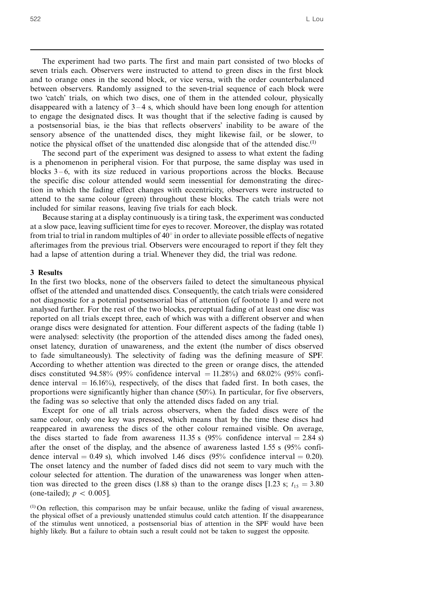The experiment had two parts. The first and main part consisted of two blocks of seven trials each. Observers were instructed to attend to green discs in the first block and to orange ones in the second block, or vice versa, with the order counterbalanced between observers. Randomly assigned to the seven-trial sequence of each block were two 'catch' trials, on which two discs, one of them in the attended colour, physically disappeared with a latency of  $3 - 4$  s, which should have been long enough for attention to engage the designated discs. It was thought that if the selective fading is caused by a postsensorial bias, ie the bias that reflects observers' inability to be aware of the sensory absence of the unattended discs, they might likewise fail, or be slower, to notice the physical offset of the unattended disc alongside that of the attended disc.<sup>(1)</sup>

The second part of the experiment was designed to assess to what extent the fading is a phenomenon in peripheral vision. For that purpose, the same display was used in blocks  $3 - 6$ , with its size reduced in various proportions across the blocks. Because the specific disc colour attended would seem inessential for demonstrating the direction in which the fading effect changes with eccentricity, observers were instructed to attend to the same colour (green) throughout these blocks. The catch trials were not included for similar reasons, leaving five trials for each block.

Because staring at a display continuously is a tiring task, the experiment was conducted at a slow pace, leaving sufficient time for eyes to recover. Moreover, the display was rotated from trial to trial in random multiples of  $40^{\circ}$  in order to alleviate possible effects of negative afterimages from the previous trial. Observers were encouraged to report if they felt they had a lapse of attention during a trial. Whenever they did, the trial was redone.

## 3 Results

In the first two blocks, none of the observers failed to detect the simultaneous physical offset of the attended and unattended discs. Consequently, the catch trials were considered not diagnostic for a potential postsensorial bias of attention (cf footnote 1) and were not analysed further. For the rest of the two blocks, perceptual fading of at least one disc was reported on all trials except three, each of which was with a different observer and when orange discs were designated for attention. Four different aspects of the fading (table 1) were analysed: selectivity (the proportion of the attended discs among the faded ones), onset latency, duration of unawareness, and the extent (the number of discs observed to fade simultaneously). The selectivity of fading was the defining measure of SPF. According to whether attention was directed to the green or orange discs, the attended discs constituted 94.58% (95% confidence interval  $= 11.28\%$ ) and 68.02% (95% confidence interval  $= 16.16\%$ ), respectively, of the discs that faded first. In both cases, the proportions were significantly higher than chance (50%). In particular, for five observers, the fading was so selective that only the attended discs faded on any trial.

Except for one of all trials across observers, when the faded discs were of the same colour, only one key was pressed, which means that by the time these discs had reappeared in awareness the discs of the other colour remained visible. On average, the discs started to fade from awareness 11.35 s  $(95\% \text{ confidence interval} = 2.84 \text{ s})$ after the onset of the display, and the absence of awareness lasted 1.55 s (95% confidence interval  $= 0.49$  s), which involved 1.46 discs (95% confidence interval  $= 0.20$ ). The onset latency and the number of faded discs did not seem to vary much with the colour selected for attention. The duration of the unawareness was longer when attention was directed to the green discs (1.88 s) than to the orange discs [1.23 s;  $t_{15} = 3.80$ (one-tailed);  $p < 0.005$ ].

(1) On reflection, this comparison may be unfair because, unlike the fading of visual awareness, the physical offset of a previously unattended stimulus could catch attention. If the disappearance of the stimulus went unnoticed, a postsensorial bias of attention in the SPF would have been highly likely. But a failure to obtain such a result could not be taken to suggest the opposite.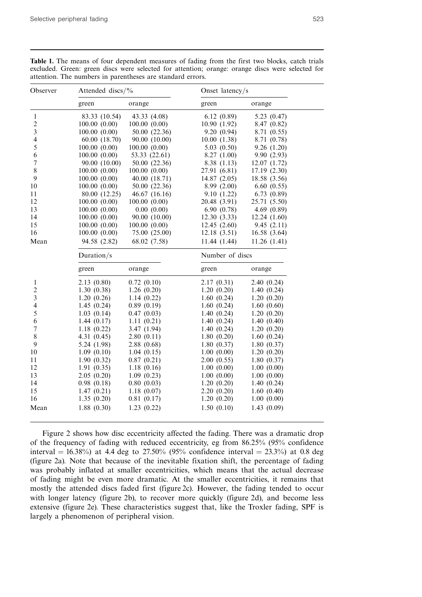| Observer                                       | Attended discs/%         |                          | Onset latency/s          |                          |
|------------------------------------------------|--------------------------|--------------------------|--------------------------|--------------------------|
|                                                | green                    | orange                   | green                    | orange                   |
| 1                                              | 83.33 (10.54)            | 43.33 (4.08)             | 6.12(0.89)               | 5.23(0.47)               |
| $\overline{c}$                                 | 100.00(0.00)             | 100.00(0.00)             | 10.90(1.92)              | 8.47 (0.82)              |
| 3                                              | 100.00(0.00)             | 50.00 (22.36)            | 9.20(0.94)               | 8.71 (0.55)              |
| 4                                              | 60.00 (18.70)            | 90.00 (10.00)            | 10.00(1.38)              | 8.71 (0.78)              |
| 5                                              | 100.00(0.00)             | 100.00(0.00)             | 5.03 (0.50)              | 9.26(1.20)               |
| 6                                              | 100.00(0.00)             | 53.33 (22.61)            | 8.27(1.00)               | 9.90 (2.93)              |
| 7                                              | 90.00 (10.00)            | 50.00 (22.36)            | 8.38 (1.13)              | 12.07(1.72)              |
| 8                                              | 100.00(0.00)             | 100.00(0.00)             | 27.91 (6.81)             | 17.19 (2.30)             |
| 9                                              | 100.00(0.00)             | 40.00 (18.71)            | 14.87 (2.05)             | 18.58 (3.56)             |
| 10                                             | 100.00(0.00)             | 50.00 (22.36)            | 8.99(2.00)               | 6.60(0.55)               |
| 11                                             | 80.00 (12.25)            | 46.67 (16.16)            | 9.10(1.22)               | 6.73(0.89)               |
| 12                                             | 100.00(0.00)             | 100.00 (0.00)            | 20.48 (3.91)             | 25.71 (5.50)             |
| 13                                             | 100.00(0.00)             | 0.00(0.00)               | 6.90(0.78)               | 4.69(0.89)               |
| 14                                             | 100.00(0.00)             | 90.00 (10.00)            | 12.30(3.33)              | 12.24(1.60)              |
| 15                                             | 100.00(0.00)             | 100.00(0.00)             | 12.45(2.60)              | 9.45(2.11)               |
| 16                                             | 100.00(0.00)             | 75.00 (25.00)            | 12.18(3.51)              | 16.58 (3.64)             |
| Mean                                           | 94.58 (2.82)             | 68.02 (7.58)             | 11.44(1.44)              | 11.26(1.41)              |
|                                                | Duration/s               |                          | Number of discs          |                          |
|                                                | green                    | orange                   | green                    | orange                   |
| 1                                              | 2.13(0.80)               | 0.72(0.10)               | 2.17(0.31)               | 2.40(0.24)               |
| 2                                              | 1.30(0.38)               | 1.26(0.20)               | 1.20(0.20)               | 1.40(0.24)               |
| 3                                              |                          |                          |                          |                          |
|                                                | 1.20(0.26)               | 1.14(0.22)               | 1.60(0.24)               | 1.20(0.20)               |
| $\overline{4}$                                 | 1.45(0.24)               | 0.89(0.19)               | 1.60(0.24)               | 1.60(0.60)               |
| 5                                              | 1.03(0.14)               | 0.47(0.03)               | 1.40(0.24)               | 1.20(0.20)               |
| 6                                              | 1.44(0.17)               | 1.11(0.21)               | 1.40(0.24)               | 1.40(0.40)               |
| 7                                              | 1.18(0.22)               | 3.47 (1.94)              | 1.40(0.24)               | 1.20(0.20)               |
| 8                                              | 4.31(0.45)               | 2.80(0.11)               | 1.80(0.20)               | 1.60(0.24)               |
| 9                                              | 5.24 (1.98)              | 2.88(0.68)               | 1.80(0.37)               | 1.80(0.37)               |
|                                                | 1.09(0.10)               |                          | 1.00(0.00)               | 1.20(0.20)               |
|                                                | 1.90(0.32)               | 1.04(0.15)<br>0.87(0.21) | 2.00(0.55)               | 1.80(0.37)               |
|                                                | 1.91(0.35)               | 1.18(0.16)               | 1.00(0.00)               | 1.00(0.00)               |
|                                                | 2.05(0.20)               | 1.09(0.23)               | 1.00(0.00)               | 1.00(0.00)               |
|                                                |                          |                          | 1.20(0.20)               | 1.40(0.24)               |
|                                                | 0.98(0.18)<br>1.47(0.21) | 0.80(0.03)<br>1.18(0.07) | 2.20(0.20)               | 1.60(0.40)               |
|                                                |                          |                          |                          |                          |
| 10<br>11<br>12<br>13<br>14<br>15<br>16<br>Mean | 1.35(0.20)<br>1.88(0.30) | 0.81(0.17)<br>1.23(0.22) | 1.20(0.20)<br>1.50(0.10) | 1.00(0.00)<br>1.43(0.09) |

Table 1. The means of four dependent measures of fading from the first two blocks, catch trials excluded. Green: green discs were selected for attention; orange: orange discs were selected for attention. The numbers in parentheses are standard errors.

Figure 2 shows how disc eccentricity affected the fading. There was a dramatic drop of the frequency of fading with reduced eccentricity, eg from 86.25% (95% confidence interval = 16.38%) at 4.4 deg to 27.50% (95% confidence interval = 23.3%) at 0.8 deg (figure 2a). Note that because of the inevitable fixation shift, the percentage of fading was probably inflated at smaller eccentricities, which means that the actual decrease of fading might be even more dramatic. At the smaller eccentricities, it remains that mostly the attended discs faded first (figure 2c). However, the fading tended to occur with longer latency (figure 2b), to recover more quickly (figure 2d), and become less extensive (figure 2e). These characteristics suggest that, like the Troxler fading, SPF is largely a phenomenon of peripheral vision.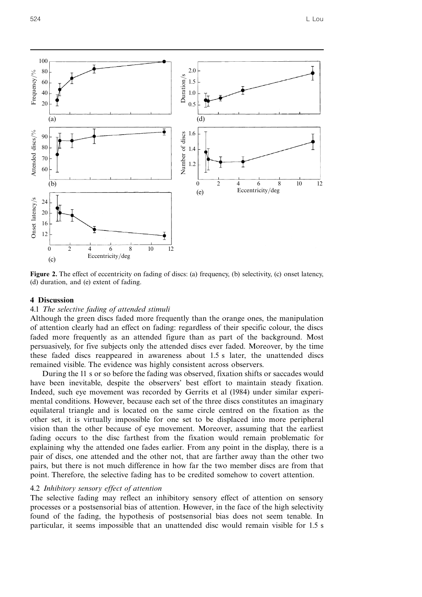

Figure 2. The effect of eccentricity on fading of discs: (a) frequency, (b) selectivity, (c) onset latency, (d) duration, and (e) extent of fading.

#### 4 Discussion

# 4.1 The selective fading of attended stimuli

Although the green discs faded more frequently than the orange ones, the manipulation of attention clearly had an effect on fading: regardless of their specific colour, the discs faded more frequently as an attended figure than as part of the background. Most persuasively, for five subjects only the attended discs ever faded. Moreover, by the time these faded discs reappeared in awareness about 1.5 s later, the unattended discs remained visible. The evidence was highly consistent across observers.

During the 11 s or so before the fading was observed, fixation shifts or saccades would have been inevitable, despite the observers' best effort to maintain steady fixation. Indeed, such eye movement was recorded by Gerrits et al (1984) under similar experimental conditions. However, because each set of the three discs constitutes an imaginary equilateral triangle and is located on the same circle centred on the fixation as the other set, it is virtually impossible for one set to be displaced into more peripheral vision than the other because of eye movement. Moreover, assuming that the earliest fading occurs to the disc farthest from the fixation would remain problematic for explaining why the attended one fades earlier. From any point in the display, there is a pair of discs, one attended and the other not, that are farther away than the other two pairs, but there is not much difference in how far the two member discs are from that point. Therefore, the selective fading has to be credited somehow to covert attention.

## 4.2 Inhibitory sensory effect of attention

The selective fading may reflect an inhibitory sensory effect of attention on sensory processes or a postsensorial bias of attention. However, in the face of the high selectivity found of the fading, the hypothesis of postsensorial bias does not seem tenable. In particular, it seems impossible that an unattended disc would remain visible for 1.5 s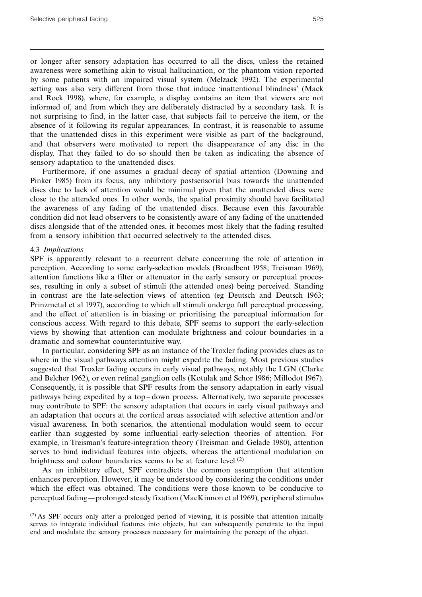or longer after sensory adaptation has occurred to all the discs, unless the retained awareness were something akin to visual hallucination, or the phantom vision reported by some patients with an impaired visual system (Melzack 1992). The experimental setting was also very different from those that induce 'inattentional blindness' (Mack and Rock 1998), where, for example, a display contains an item that viewers are not informed of, and from which they are deliberately distracted by a secondary task. It is not surprising to find, in the latter case, that subjects fail to perceive the item, or the absence of it following its regular appearances. In contrast, it is reasonable to assume that the unattended discs in this experiment were visible as part of the background, and that observers were motivated to report the disappearance of any disc in the display. That they failed to do so should then be taken as indicating the absence of sensory adaptation to the unattended discs.

Furthermore, if one assumes a gradual decay of spatial attention (Downing and Pinker 1985) from its focus, any inhibitory postsensorial bias towards the unattended discs due to lack of attention would be minimal given that the unattended discs were close to the attended ones. In other words, the spatial proximity should have facilitated the awareness of any fading of the unattended discs. Because even this favourable condition did not lead observers to be consistently aware of any fading of the unattended discs alongside that of the attended ones, it becomes most likely that the fading resulted from a sensory inhibition that occurred selectively to the attended discs.

# 4.3 Implications

SPF is apparently relevant to a recurrent debate concerning the role of attention in perception. According to some early-selection models (Broadbent 1958; Treisman 1969), attention functions like a filter or attenuator in the early sensory or perceptual processes, resulting in only a subset of stimuli (the attended ones) being perceived. Standing in contrast are the late-selection views of attention (eg Deutsch and Deutsch 1963; Prinzmetal et al 1997), according to which all stimuli undergo full perceptual processing, and the effect of attention is in biasing or prioritising the perceptual information for conscious access. With regard to this debate, SPF seems to support the early-selection views by showing that attention can modulate brightness and colour boundaries in a dramatic and somewhat counterintuitive way.

In particular, considering SPF as an instance of the Troxler fading provides clues as to where in the visual pathways attention might expedite the fading. Most previous studies suggested that Troxler fading occurs in early visual pathways, notably the LGN (Clarke and Belcher 1962), or even retinal ganglion cells (Kotulak and Schor 1986; Millodot 1967). Consequently, it is possible that SPF results from the sensory adaptation in early visual pathways being expedited by a top ^ down process. Alternatively, two separate processes may contribute to SPF: the sensory adaptation that occurs in early visual pathways and an adaptation that occurs at the cortical areas associated with selective attention and/or visual awareness. In both scenarios, the attentional modulation would seem to occur earlier than suggested by some influential early-selection theories of attention. For example, in Treisman's feature-integration theory (Treisman and Gelade 1980), attention serves to bind individual features into objects, whereas the attentional modulation on brightness and colour boundaries seems to be at feature level.(2)

As an inhibitory effect, SPF contradicts the common assumption that attention enhances perception. However, it may be understood by considering the conditions under which the effect was obtained. The conditions were those known to be conducive to perceptual fading—prolonged steady fixation (MacKinnon et al 1969), peripheral stimulus

 $^{(2)}$  As SPF occurs only after a prolonged period of viewing, it is possible that attention initially serves to integrate individual features into objects, but can subsequently penetrate to the input end and modulate the sensory processes necessary for maintaining the percept of the object.